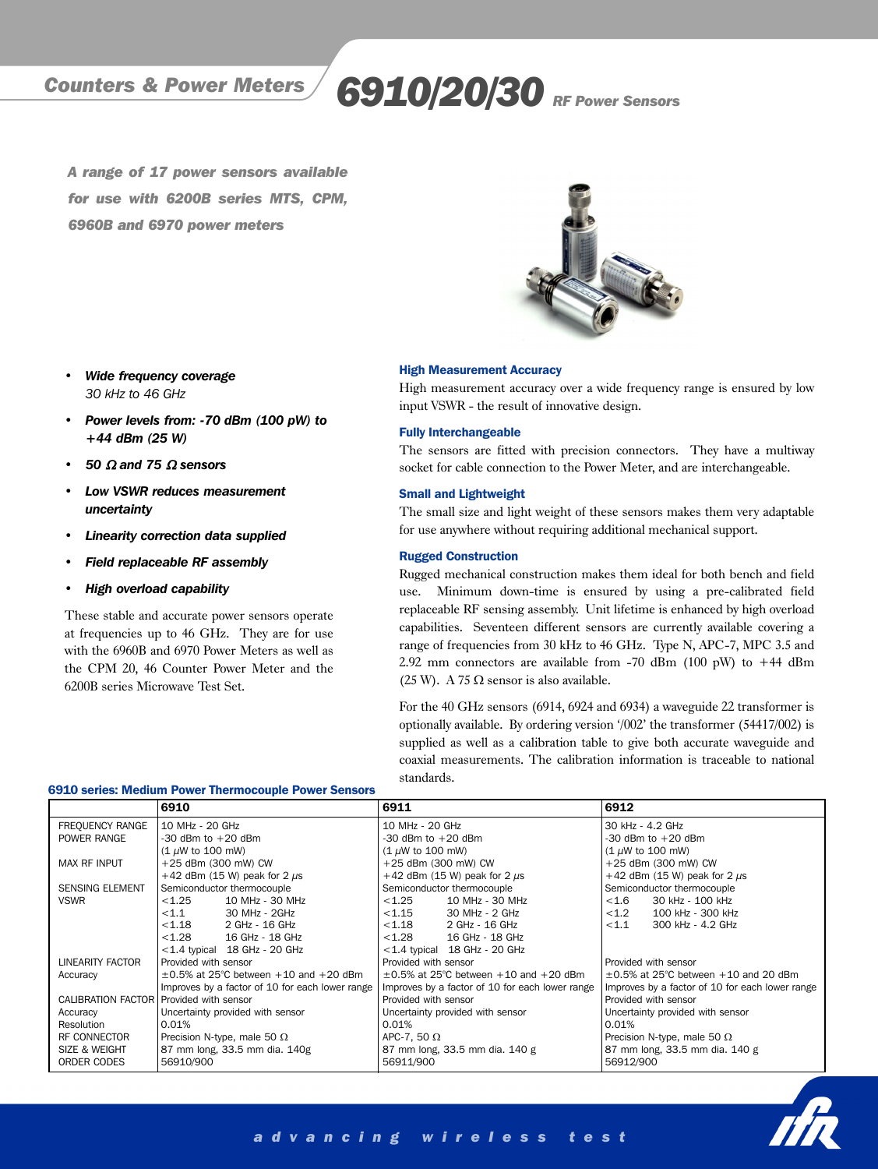# Counters & Power Meters 6910/20/30 RF Power Sensors

A range of 17 power sensors available for use with 6200B series MTS, CPM, 6960B and 6970 power meters



#### *• Wide frequency coverage 30 kHz to 46 GHz*

- *Power levels from: -70 dBm (100 pW) to +44 dBm (25 W)*
- *50* <sup>Ω</sup> *and 75* <sup>Ω</sup> *sensors*
- *Low VSWR reduces measurement uncertainty*
- *Linearity correction data supplied*
- *Field replaceable RF assembly*
- *High overload capability*

These stable and accurate power sensors operate at frequencies up to 46 GHz. They are for use with the 6960B and 6970 Power Meters as well as the CPM 20, 46 Counter Power Meter and the 6200B series Microwave Test Set.

#### High Measurement Accuracy

High measurement accuracy over a wide frequency range is ensured by low input VSWR - the result of innovative design.

#### Fully Interchangeable

The sensors are fitted with precision connectors. They have a multiway socket for cable connection to the Power Meter, and are interchangeable.

#### Small and Lightweight

The small size and light weight of these sensors makes them very adaptable for use anywhere without requiring additional mechanical support.

#### Rugged Construction

Rugged mechanical construction makes them ideal for both bench and field use. Minimum down-time is ensured by using a pre-calibrated field replaceable RF sensing assembly. Unit lifetime is enhanced by high overload capabilities. Seventeen different sensors are currently available covering a range of frequencies from 30 kHz to 46 GHz. Type N, APC-7, MPC 3.5 and 2.92 mm connectors are available from -70 dBm (100 pW) to +44 dBm (25 W). A 75  $\Omega$  sensor is also available.

For the 40 GHz sensors (6914, 6924 and 6934) a waveguide 22 transformer is optionally available. By ordering version '/002' the transformer (54417/002) is supplied as well as a calibration table to give both accurate waveguide and coaxial measurements. The calibration information is traceable to national standards.

|                           | 6910                                            | 6911                                            | 6912                                            |
|---------------------------|-------------------------------------------------|-------------------------------------------------|-------------------------------------------------|
| FREQUENCY RANGE           | 10 MHz - 20 GHz                                 | 10 MHz - 20 GHz                                 | 30 kHz - 4.2 GHz                                |
| POWER RANGE               | -30 dBm to $+20$ dBm                            | $-30$ dBm to $+20$ dBm                          | $-30$ dBm to $+20$ dBm                          |
|                           | $(1 \mu W$ to 100 mW)                           | $(1 \mu W$ to 100 mW)                           | $(1 \mu W$ to 100 mW)                           |
| <b>MAX RF INPUT</b>       | +25 dBm (300 mW) CW                             | +25 dBm (300 mW) CW                             | +25 dBm (300 mW) CW                             |
|                           | $+42$ dBm (15 W) peak for 2 $\mu$ s             | +42 dBm (15 W) peak for 2 $\mu$ s               | +42 dBm (15 W) peak for 2 $\mu$ s               |
| <b>SENSING ELEMENT</b>    | Semiconductor thermocouple                      | Semiconductor thermocouple                      | Semiconductor thermocouple                      |
| <b>VSWR</b>               | < 1.25<br>10 MHz - 30 MHz                       | < 1.25<br>10 MHz - 30 MHz                       | < 1.6<br>30 kHz - 100 kHz                       |
|                           | ${<}1.1$<br>30 MHz - 2GHz                       | < 1.15<br>30 MHz - 2 GHz                        | < 1.2<br>100 kHz - 300 kHz                      |
|                           | < 1.18<br>2 GHz - 16 GHz                        | < 1.18<br>2 GHz - 16 GHz                        | < 1.1<br>300 kHz - 4.2 GHz                      |
|                           | < 1.28<br>16 GHz - 18 GHz                       | < 1.28<br>16 GHz - 18 GHz                       |                                                 |
|                           | $<$ 1.4 typical 18 GHz - 20 GHz                 | $<$ 1.4 typical 18 GHz - 20 GHz                 |                                                 |
| <b>LINEARITY FACTOR</b>   | Provided with sensor                            | Provided with sensor                            | Provided with sensor                            |
| Accuracy                  | $\pm 0.5\%$ at 25°C between $+10$ and $+20$ dBm | $\pm 0.5\%$ at 25°C between $+10$ and $+20$ dBm | $\pm$ 0.5% at 25°C between $+10$ and 20 dBm     |
|                           | Improves by a factor of 10 for each lower range | Improves by a factor of 10 for each lower range | Improves by a factor of 10 for each lower range |
| <b>CALIBRATION FACTOR</b> | Provided with sensor                            | Provided with sensor                            | Provided with sensor                            |
| Accuracy                  | Uncertainty provided with sensor                | Uncertainty provided with sensor                | Uncertainty provided with sensor                |
| Resolution                | 0.01%                                           | 0.01%                                           | 0.01%                                           |
| RF CONNECTOR              | Precision N-type, male 50 $\Omega$              | APC-7, 50 $\Omega$                              | Precision N-type, male 50 $\Omega$              |
| <b>SIZE &amp; WEIGHT</b>  | 87 mm long, 33.5 mm dia. 140g                   | 87 mm long, 33.5 mm dia. 140 g                  | 87 mm long, 33.5 mm dia. 140 g                  |
| ORDER CODES               | 56910/900                                       | 56911/900                                       | 56912/900                                       |

#### 6910 series: Medium Power Thermocouple Power Sensors



# advancing wireless test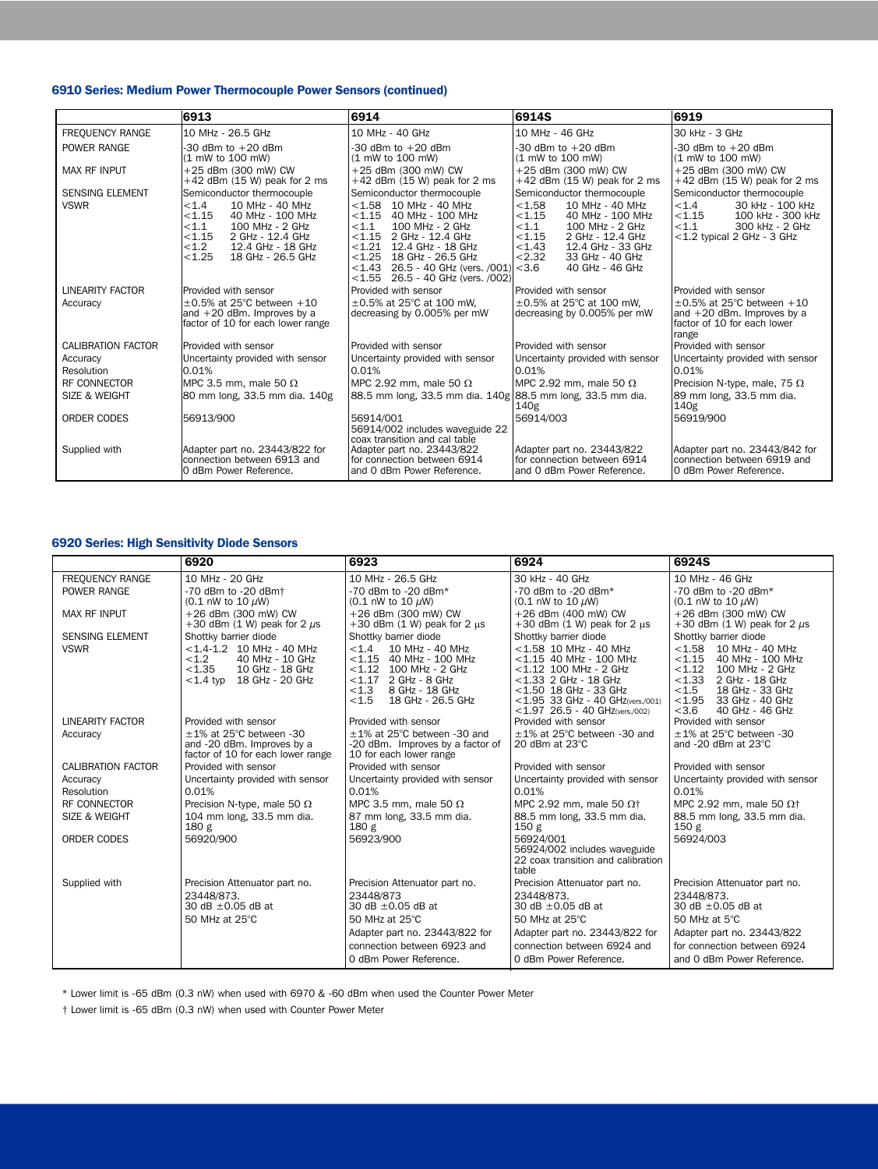## 6910 Series: Medium Power Thermocouple Power Sensors (continued)

|                                       | 6913                                                                                                                                                                                                        | 6914                                                                                                                                                                                                                                                                                     | 6914S                                                                                                                                                                                                                                   | 6919                                                                                                                                             |
|---------------------------------------|-------------------------------------------------------------------------------------------------------------------------------------------------------------------------------------------------------------|------------------------------------------------------------------------------------------------------------------------------------------------------------------------------------------------------------------------------------------------------------------------------------------|-----------------------------------------------------------------------------------------------------------------------------------------------------------------------------------------------------------------------------------------|--------------------------------------------------------------------------------------------------------------------------------------------------|
| FREQUENCY RANGE                       | 10 MHz - 26.5 GHz                                                                                                                                                                                           | 10 MHz - 40 GHz                                                                                                                                                                                                                                                                          | 10 MHz - 46 GHz                                                                                                                                                                                                                         | 30 kHz - 3 GHz                                                                                                                                   |
| POWER RANGE                           | $-30$ dBm to $+20$ dBm<br>(1 mW to 100 mW)                                                                                                                                                                  | $-30$ dBm to $+20$ dBm<br>(1 mW to 100 mW)                                                                                                                                                                                                                                               | $-30$ dBm to $+20$ dBm<br>(1 mW to 100 mW)                                                                                                                                                                                              | $-30$ dBm to $+20$ dBm<br>(1 mW to 100 mW)                                                                                                       |
| <b>MAX RF INPUT</b>                   | +25 dBm (300 mW) CW<br>$+42$ dBm (15 W) peak for 2 ms                                                                                                                                                       | +25 dBm (300 mW) CW<br>$+42$ dBm (15 W) peak for 2 ms                                                                                                                                                                                                                                    | +25 dBm (300 mW) CW<br>$+42$ dBm (15 W) peak for 2 ms                                                                                                                                                                                   | +25 dBm (300 mW) CW<br>$+42$ dBm (15 W) peak for 2 ms                                                                                            |
| <b>SENSING ELEMENT</b><br><b>VSWR</b> | Semiconductor thermocouple<br>< 1.4<br>10 MHz - 40 MHz<br>< 1.15<br>40 MHz - 100 MHz<br>< 1.1<br>100 MHz - 2 GHz<br>< 1.15<br>2 GHz - 12.4 GHz<br>< 1.2<br>12.4 GHz - 18 GHz<br>< 1.25<br>18 GHz - 26.5 GHz | Semiconductor thermocouple<br>$< 1.58$ 10 MHz - 40 MHz<br>$< 1.15$ 40 MHz - 100 MHz<br>< 1.1<br>100 MHz - 2 GHz<br>< 1.15<br>2 GHz - 12.4 GHz<br>$< 1.21$ 12.4 GHz - 18 GHz<br>< 1.25<br>18 GHz - 26.5 GHz<br>$<$ 1.43 26.5 - 40 GHz (vers. /001)<br>$<$ 1.55 26.5 - 40 GHz (vers. /002) | Semiconductor thermocouple<br>< 1.58<br>10 MHz - 40 MHz<br>< 1.15<br>40 MHz - 100 MHz<br>< 1.1<br>100 MHz - 2 GHz<br>< 1.15<br>2 GHz - 12.4 GHz<br>< 1.43<br>12.4 GHz - 33 GHz<br>< 2.32<br>33 GHz - 40 GHz<br>< 3.6<br>40 GHz - 46 GHz | Semiconductor thermocouple<br>< 1.4<br>30 kHz - 100 kHz<br>< 1.15<br>100 kHz - 300 kHz<br>< 1.1<br>300 kHz - 2 GHz<br><1.2 typical 2 GHz - 3 GHz |
| LINEARITY FACTOR                      | Provided with sensor                                                                                                                                                                                        | Provided with sensor                                                                                                                                                                                                                                                                     | Provided with sensor                                                                                                                                                                                                                    | Provided with sensor                                                                                                                             |
| Accuracy                              | $\pm 0.5\%$ at 25°C between $+10$<br>and $+20$ dBm. Improves by a<br>factor of 10 for each lower range                                                                                                      | $\pm 0.5\%$ at 25°C at 100 mW.<br>decreasing by 0.005% per mW                                                                                                                                                                                                                            | $\pm 0.5\%$ at 25°C at 100 mW.<br>decreasing by 0.005% per mW                                                                                                                                                                           | $\pm 0.5\%$ at 25°C between $+10$<br>and $+20$ dBm. Improves by a<br>factor of 10 for each lower<br>range                                        |
| <b>CALIBRATION FACTOR</b>             | Provided with sensor                                                                                                                                                                                        | Provided with sensor                                                                                                                                                                                                                                                                     | Provided with sensor                                                                                                                                                                                                                    | Provided with sensor                                                                                                                             |
| Accuracy<br>Resolution                | Uncertainty provided with sensor<br>0.01%                                                                                                                                                                   | Uncertainty provided with sensor<br>0.01%                                                                                                                                                                                                                                                | Uncertainty provided with sensor<br>0.01%                                                                                                                                                                                               | Uncertainty provided with sensor<br>0.01%                                                                                                        |
| <b>RF CONNECTOR</b>                   | MPC 3.5 mm, male 50 $\Omega$                                                                                                                                                                                | MPC 2.92 mm, male 50 $\Omega$                                                                                                                                                                                                                                                            | MPC 2.92 mm, male 50 $\Omega$                                                                                                                                                                                                           | Precision N-type, male, 75 $\Omega$                                                                                                              |
| <b>SIZE &amp; WEIGHT</b>              | 80 mm long, 33.5 mm dia. 140g                                                                                                                                                                               | 88.5 mm long, 33.5 mm dia. 140g 88.5 mm long, 33.5 mm dia.                                                                                                                                                                                                                               | 140g                                                                                                                                                                                                                                    | 89 mm long, 33.5 mm dia.<br>140g                                                                                                                 |
| <b>ORDER CODES</b>                    | 56913/900                                                                                                                                                                                                   | 56914/001<br>56914/002 includes waveguide 22<br>coax transition and cal table                                                                                                                                                                                                            | 56914/003                                                                                                                                                                                                                               | 56919/900                                                                                                                                        |
| Supplied with                         | Adapter part no. 23443/822 for<br>connection between 6913 and<br>0 dBm Power Reference.                                                                                                                     | Adapter part no. 23443/822<br>for connection between 6914<br>and 0 dBm Power Reference.                                                                                                                                                                                                  | Adapter part no. 23443/822<br>for connection between 6914<br>and 0 dBm Power Reference.                                                                                                                                                 | Adapter part no. 23443/842 for<br>connection between 6919 and<br>0 dBm Power Reference.                                                          |

## 6920 Series: High Sensitivity Diode Sensors

|                           | 6920                                                                                                                | 6923                                                                                                                                                           | 6924                                                                                                                                                                                                              | 6924S                                                                                                                                                                                               |
|---------------------------|---------------------------------------------------------------------------------------------------------------------|----------------------------------------------------------------------------------------------------------------------------------------------------------------|-------------------------------------------------------------------------------------------------------------------------------------------------------------------------------------------------------------------|-----------------------------------------------------------------------------------------------------------------------------------------------------------------------------------------------------|
| <b>FREQUENCY RANGE</b>    | 10 MHz - 20 GHz                                                                                                     | 10 MHz - 26.5 GHz                                                                                                                                              | 30 kHz - 40 GHz                                                                                                                                                                                                   | 10 MHz - 46 GHz                                                                                                                                                                                     |
| POWER RANGE               | -70 dBm to -20 dBm+<br>$(0.1 \text{ nW to } 10 \mu\text{W})$                                                        | $-70$ dBm to $-20$ dBm*<br>$(0.1 \text{ nW to } 10 \text{ \mu W})$                                                                                             | $-70$ dBm to $-20$ dBm*<br>(0.1 nW to 10 $\mu$ W)                                                                                                                                                                 | $-70$ dBm to $-20$ dBm*<br>(0.1 nW to 10 $\mu$ W)                                                                                                                                                   |
| <b>MAX RF INPUT</b>       | +26 dBm (300 mW) CW<br>+30 dBm $(1 \text{ W})$ peak for 2 $\mu$ s                                                   | +26 dBm (300 mW) CW<br>$+30$ dBm (1 W) peak for 2 $\mu$ s                                                                                                      | +26 dBm (400 mW) CW<br>$+30$ dBm (1 W) peak for 2 $\mu$ s                                                                                                                                                         | +26 dBm (300 mW) CW<br>+30 dBm $(1 \text{ W})$ peak for 2 $\mu$ s                                                                                                                                   |
| <b>SENSING ELEMENT</b>    | Shottky barrier diode                                                                                               | Shottky barrier diode                                                                                                                                          | Shottky barrier diode                                                                                                                                                                                             | Shottky barrier diode                                                                                                                                                                               |
| <b>VSWR</b>               | $<$ 1.4-1.2 10 MHz - 40 MHz<br>< 1.2<br>40 MHz - 10 GHz<br>< 1.35<br>10 GHz - 18 GHz<br>$<$ 1.4 typ 18 GHz - 20 GHz | < 1.4<br>10 MHz - 40 MHz<br><1.15 40 MHz - 100 MHz<br><1.12 100 MHz - 2 GHz<br>$< 1.17$ 2 GHz - 8 GHz<br>< 1.3<br>8 GHz - 18 GHz<br>18 GHz - 26.5 GHz<br>< 1.5 | $<$ 1.58 10 MHz - 40 MHz<br>$<$ 1.15 40 MHz - 100 MHz<br>$<$ 1.12 100 MHz - 2 GHz<br>$<$ 1.33 2 GHz - 18 GHz<br>$<$ 1.50 18 GHz - 33 GHz<br><1.95 33 GHz - 40 GHz(vers./001)<br>$<$ 1.97 26.5 - 40 GHz(vers./002) | $< 1.58$ 10 MHz - 40 MHz<br>< 1.15<br>40 MHz - 100 MHz<br>< 1.12<br>100 MHz - 2 GHz<br>$< 1.33$ 2 GHz - 18 GHz<br>< 1.5<br>18 GHz - 33 GHz<br>< 1.95<br>33 GHz - 40 GHz<br>40 GHz - 46 GHz<br>< 3.6 |
| <b>LINEARITY FACTOR</b>   | Provided with sensor                                                                                                | Provided with sensor                                                                                                                                           | Provided with sensor                                                                                                                                                                                              | Provided with sensor                                                                                                                                                                                |
| Accuracy                  | $\pm$ 1% at 25°C between -30<br>and -20 dBm. Improves by a<br>factor of 10 for each lower range                     | $\pm$ 1% at 25°C between -30 and<br>-20 dBm. Improves by a factor of<br>10 for each lower range                                                                | $\pm$ 1% at 25°C between -30 and<br>20 dBm at 23°C                                                                                                                                                                | $\pm$ 1% at 25°C between -30<br>and -20 dBm at 23°C                                                                                                                                                 |
| <b>CALIBRATION FACTOR</b> | Provided with sensor                                                                                                | Provided with sensor                                                                                                                                           | Provided with sensor                                                                                                                                                                                              | Provided with sensor                                                                                                                                                                                |
| Accuracy                  | Uncertainty provided with sensor                                                                                    | Uncertainty provided with sensor                                                                                                                               | Uncertainty provided with sensor                                                                                                                                                                                  | Uncertainty provided with sensor                                                                                                                                                                    |
| <b>Resolution</b>         | 0.01%                                                                                                               | 0.01%                                                                                                                                                          | 0.01%                                                                                                                                                                                                             | 0.01%                                                                                                                                                                                               |
| RF CONNECTOR              | Precision N-type, male 50 $\Omega$                                                                                  | MPC 3.5 mm, male 50 $\Omega$                                                                                                                                   | MPC 2.92 mm, male 50 $\Omega$ <sup>+</sup>                                                                                                                                                                        | MPC 2.92 mm, male 50 $\Omega$ <sup>+</sup>                                                                                                                                                          |
| SIZE & WEIGHT             | 104 mm long, 33.5 mm dia.<br>180 g                                                                                  | 87 mm long, 33.5 mm dia.<br>180 <sub>g</sub>                                                                                                                   | 88.5 mm long, 33.5 mm dia.<br>150 <sub>g</sub>                                                                                                                                                                    | 88.5 mm long, 33.5 mm dia.<br>150g                                                                                                                                                                  |
| <b>ORDER CODES</b>        | 56920/900                                                                                                           | 56923/900                                                                                                                                                      | 56924/001<br>56924/002 includes waveguide<br>22 coax transition and calibration<br>table                                                                                                                          | 56924/003                                                                                                                                                                                           |
| Supplied with             | Precision Attenuator part no.                                                                                       | Precision Attenuator part no.                                                                                                                                  | Precision Attenuator part no.                                                                                                                                                                                     | Precision Attenuator part no.                                                                                                                                                                       |
|                           | 23448/873.                                                                                                          | 23448/873                                                                                                                                                      | 23448/873.                                                                                                                                                                                                        | 23448/873.                                                                                                                                                                                          |
|                           | 30 dB ±0.05 dB at                                                                                                   | 30 dB $\pm$ 0.05 dB at                                                                                                                                         | 30 dB $\pm$ 0.05 dB at                                                                                                                                                                                            | 30 dB $\pm$ 0.05 dB at                                                                                                                                                                              |
|                           | 50 MHz at 25°C                                                                                                      | 50 MHz at 25°C                                                                                                                                                 | 50 MHz at 25°C                                                                                                                                                                                                    | 50 MHz at 5°C                                                                                                                                                                                       |
|                           |                                                                                                                     | Adapter part no. 23443/822 for                                                                                                                                 | Adapter part no. 23443/822 for                                                                                                                                                                                    | Adapter part no. 23443/822                                                                                                                                                                          |
|                           |                                                                                                                     | connection between 6923 and                                                                                                                                    | connection between 6924 and                                                                                                                                                                                       | for connection between 6924                                                                                                                                                                         |
|                           |                                                                                                                     | 0 dBm Power Reference.                                                                                                                                         | 0 dBm Power Reference.                                                                                                                                                                                            | and 0 dBm Power Reference.                                                                                                                                                                          |

\* Lower limit is -65 dBm (0.3 nW) when used with 6970 & -60 dBm when used the Counter Power Meter

† Lower limit is -65 dBm (0.3 nW) when used with Counter Power Meter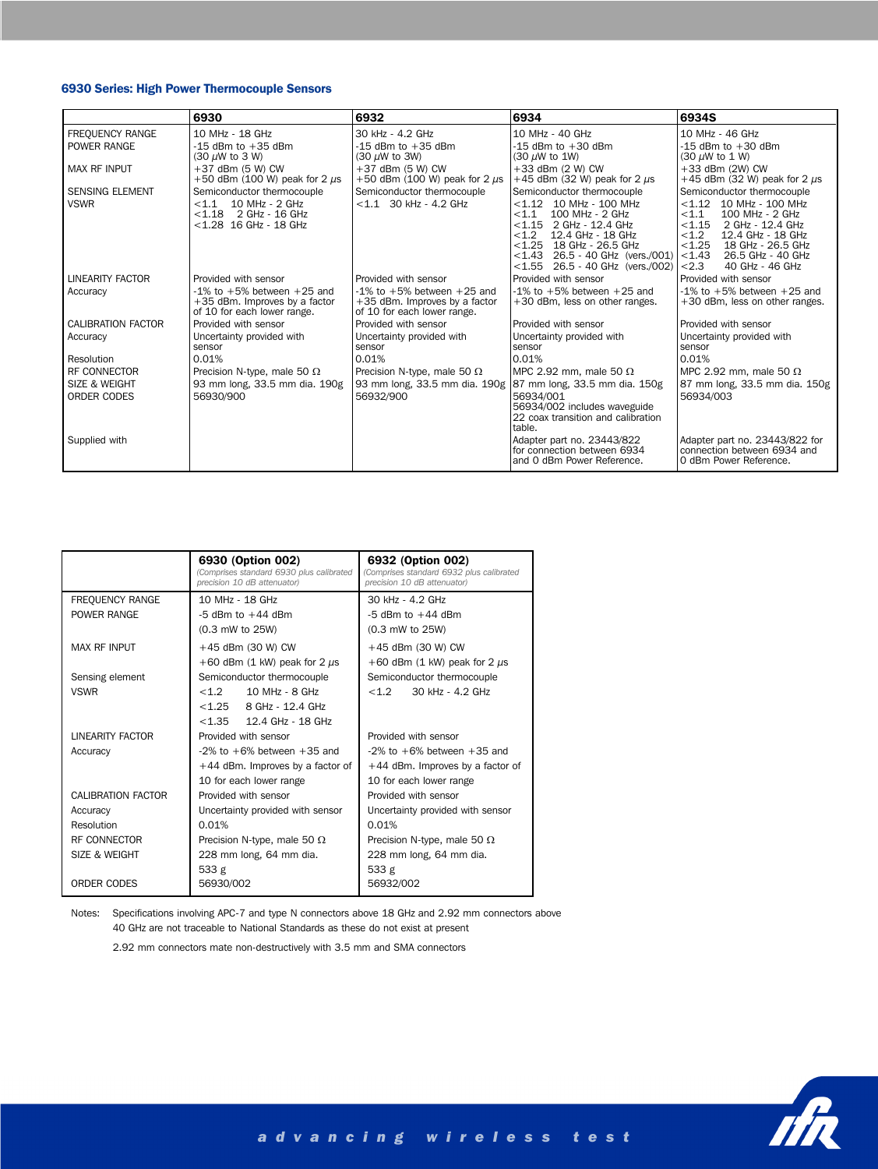## 6930 Series: High Power Thermocouple Sensors

|                                         | 6930                                                                                                         | 6932                                                                                                 | 6934                                                                                                                                                                                                                                                     | 6934S                                                                                                                                                                                                                                     |
|-----------------------------------------|--------------------------------------------------------------------------------------------------------------|------------------------------------------------------------------------------------------------------|----------------------------------------------------------------------------------------------------------------------------------------------------------------------------------------------------------------------------------------------------------|-------------------------------------------------------------------------------------------------------------------------------------------------------------------------------------------------------------------------------------------|
| <b>FREQUENCY RANGE</b>                  | 10 MHz - 18 GHz                                                                                              | 30 kHz - 4.2 GHz                                                                                     | 10 MHz - 40 GHz                                                                                                                                                                                                                                          | 10 MHz - 46 GHz                                                                                                                                                                                                                           |
| POWER RANGE                             | $-15$ dBm to $+35$ dBm<br>(30 µW to 3 W)                                                                     | $-15$ dBm to $+35$ dBm<br>$(30 \mu W)$ to 3W)                                                        | $-15$ dBm to $+30$ dBm<br>$(30 \mu W)$ to 1W)                                                                                                                                                                                                            | $-15$ dBm to $+30$ dBm<br>$(30 \mu W)$ to 1 W)                                                                                                                                                                                            |
| <b>MAX RF INPUT</b>                     | +37 dBm (5 W) CW<br>+50 dBm (100 W) peak for 2 $\mu$ s                                                       | +37 dBm (5 W) CW<br>+50 dBm (100 W) peak for 2 $\mu$ s                                               | +33 dBm (2 W) CW<br>+45 dBm (32 W) peak for 2 $\mu$ s                                                                                                                                                                                                    | +33 dBm (2W) CW<br>+45 dBm (32 W) peak for 2 $\mu$ s                                                                                                                                                                                      |
| <b>SENSING ELEMENT</b><br><b>VSWR</b>   | Semiconductor thermocouple<br>10 MHz - 2 GHz<br>< 1.1<br>$<$ 1.18 2 GHz - 16 GHz<br>$<$ 1.28 16 GHz - 18 GHz | Semiconductor thermocouple<br>$< 1.1$ 30 kHz - 4.2 GHz                                               | Semiconductor thermocouple<br>$< 1.12$ 10 MHz - 100 MHz<br>100 MHz - 2 GHz<br>< 1.1<br>$< 1.15$ 2 GHz - 12.4 GHz<br>< 1.2<br>12.4 GHz - 18 GHz<br>$<$ 1.25 18 GHz - 26.5 GHz<br>$<$ 1.43 26.5 - 40 GHz (vers./001)<br>$<$ 1.55 26.5 - 40 GHz (vers./002) | Semiconductor thermocouple<br>$< 1.12$ 10 MHz - 100 MHz<br>< 1.1<br>100 MHz - 2 GHz<br>< 1.15<br>2 GHz - 12.4 GHz<br>< 1.2<br>12.4 GHz - 18 GHz<br>< 1.25<br>18 GHz - 26.5 GHz<br>< 1.43<br>26.5 GHz - 40 GHz<br>40 GHz - 46 GHz<br>< 2.3 |
| <b>LINEARITY FACTOR</b>                 | Provided with sensor                                                                                         | Provided with sensor                                                                                 | Provided with sensor                                                                                                                                                                                                                                     | Provided with sensor                                                                                                                                                                                                                      |
| Accuracy                                | $-1\%$ to $+5\%$ between $+25$ and<br>+35 dBm. Improves by a factor<br>of 10 for each lower range.           | $-1\%$ to $+5\%$ between $+25$ and<br>$+35$ dBm. Improves by a factor<br>of 10 for each lower range. | $-1\%$ to $+5\%$ between $+25$ and<br>+30 dBm, less on other ranges.                                                                                                                                                                                     | $-1\%$ to $+5\%$ between $+25$ and<br>$+30$ dBm, less on other ranges.                                                                                                                                                                    |
| <b>CALIBRATION FACTOR</b>               | Provided with sensor                                                                                         | Provided with sensor                                                                                 | Provided with sensor                                                                                                                                                                                                                                     | Provided with sensor                                                                                                                                                                                                                      |
| Accuracy                                | Uncertainty provided with<br>sensor                                                                          | Uncertainty provided with<br>sensor                                                                  | Uncertainty provided with<br>sensor                                                                                                                                                                                                                      | Uncertainty provided with<br>sensor                                                                                                                                                                                                       |
| Resolution                              | 0.01%                                                                                                        | 0.01%                                                                                                | 0.01%                                                                                                                                                                                                                                                    | 0.01%                                                                                                                                                                                                                                     |
| RF CONNECTOR                            | Precision N-type, male 50 $\Omega$                                                                           | Precision N-type, male 50 $\Omega$                                                                   | MPC 2.92 mm, male 50 $\Omega$                                                                                                                                                                                                                            | MPC 2.92 mm, male 50 $\Omega$                                                                                                                                                                                                             |
| <b>SIZE &amp; WEIGHT</b><br>ORDER CODES | 93 mm long, 33.5 mm dia. 190g<br>56930/900                                                                   | 93 mm long, 33.5 mm dia. 190g<br>56932/900                                                           | 87 mm long, 33.5 mm dia. 150g<br>56934/001<br>56934/002 includes waveguide<br>22 coax transition and calibration<br>table.                                                                                                                               | 87 mm long, 33.5 mm dia. 150g<br>56934/003                                                                                                                                                                                                |
| Supplied with                           |                                                                                                              |                                                                                                      | Adapter part no. 23443/822<br>for connection between 6934<br>and 0 dBm Power Reference.                                                                                                                                                                  | Adapter part no. 23443/822 for<br>connection between 6934 and<br>0 dBm Power Reference.                                                                                                                                                   |

|                        | 6930 (Option 002)<br>(Comprises standard 6930 plus calibrated<br>precision 10 dB attenuator) | 6932 (Option 002)<br>(Comprises standard 6932 plus calibrated<br>precision 10 dB attenuator) |
|------------------------|----------------------------------------------------------------------------------------------|----------------------------------------------------------------------------------------------|
| <b>FREQUENCY RANGE</b> | 10 MHz - 18 GHz                                                                              | 30 kHz - 4.2 GHz                                                                             |
| POWER RANGE            | $-5$ dBm to $+44$ dBm                                                                        | $-5$ dBm to $+44$ dBm                                                                        |
|                        | (0.3 mW to 25W)                                                                              | (0.3 mW to 25W)                                                                              |
| <b>MAX RF INPUT</b>    | +45 dBm (30 W) CW                                                                            | +45 dBm (30 W) CW                                                                            |
|                        | +60 dBm $(1 \text{ kW})$ peak for 2 $\mu$ s                                                  | +60 dBm (1 kW) peak for 2 $\mu$ s                                                            |
| Sensing element        | Semiconductor thermocouple                                                                   | Semiconductor thermocouple                                                                   |
| <b>VSWR</b>            | <1.2<br>10 MHz - 8 GHz                                                                       | 30 kHz - 4.2 GHz<br><1.2                                                                     |
|                        | < 1.25<br>8 GHz - 12.4 GHz                                                                   |                                                                                              |
|                        | < 1.35<br>12.4 GHz - 18 GHz                                                                  |                                                                                              |
| LINEARITY FACTOR       | Provided with sensor                                                                         | Provided with sensor                                                                         |
| Accuracy               | $-2\%$ to $+6\%$ between $+35$ and                                                           | $-2\%$ to $+6\%$ between $+35$ and                                                           |
|                        | $+44$ dBm. Improves by a factor of                                                           | $+44$ dBm. Improves by a factor of                                                           |
|                        | 10 for each lower range                                                                      | 10 for each lower range                                                                      |
| CALIBRATION FACTOR     | Provided with sensor                                                                         | Provided with sensor                                                                         |
| Accuracy               | Uncertainty provided with sensor                                                             | Uncertainty provided with sensor                                                             |
| Resolution             | 0.01%                                                                                        | 0.01%                                                                                        |
| RF CONNECTOR           | Precision N-type, male 50 $\Omega$                                                           | Precision N-type, male 50 $\Omega$                                                           |
| SIZE & WEIGHT          | 228 mm long, 64 mm dia.                                                                      | 228 mm long, 64 mm dia.                                                                      |
|                        | 533 g                                                                                        | 533 g                                                                                        |
| ORDER CODES            | 56930/002                                                                                    | 56932/002                                                                                    |

Notes: Specifications involving APC-7 and type N connectors above 18 GHz and 2.92 mm connectors above 40 GHz are not traceable to National Standards as these do not exist at present

2.92 mm connectors mate non-destructively with 3.5 mm and SMA connectors